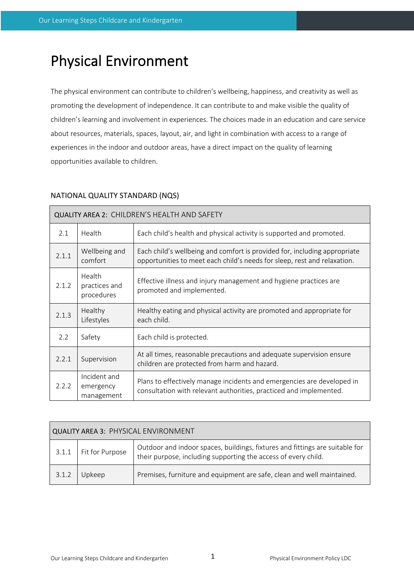# Physical Environment

The physical environment can contribute to children's wellbeing, happiness, and creativity as well as promoting the development of independence. It can contribute to and make visible the quality of children's learning and involvement in experiences. The choices made in an education and care service about resources, materials, spaces, layout, air, and light in combination with access to a range of experiences in the indoor and outdoor areas, have a direct impact on the quality of learning opportunities available to children.

# NATIONAL QUALITY STANDARD (NQS)

| <b>QUALITY AREA 2: CHILDREN'S HEALTH AND SAFETY</b> |                                         |                                                                                                                                                       |  |  |  |
|-----------------------------------------------------|-----------------------------------------|-------------------------------------------------------------------------------------------------------------------------------------------------------|--|--|--|
| 2.1                                                 | Health                                  | Each child's health and physical activity is supported and promoted.                                                                                  |  |  |  |
| 2.1.1                                               | Wellbeing and<br>comfort                | Each child's wellbeing and comfort is provided for, including appropriate<br>opportunities to meet each child's needs for sleep, rest and relaxation. |  |  |  |
| 2.1.2                                               | Health<br>practices and<br>procedures   | Effective illness and injury management and hygiene practices are<br>promoted and implemented.                                                        |  |  |  |
| 2.1.3                                               | Healthy<br>Lifestyles                   | Healthy eating and physical activity are promoted and appropriate for<br>each child.                                                                  |  |  |  |
| 2.2                                                 | Safety                                  | Each child is protected.                                                                                                                              |  |  |  |
| 2.2.1                                               | Supervision                             | At all times, reasonable precautions and adequate supervision ensure<br>children are protected from harm and hazard.                                  |  |  |  |
| 2.2.2                                               | Incident and<br>emergency<br>management | Plans to effectively manage incidents and emergencies are developed in<br>consultation with relevant authorities, practiced and implemented.          |  |  |  |

| QUALITY AREA 3: PHYSICAL ENVIRONMENT |                 |                                                                                                                                                |  |  |  |  |
|--------------------------------------|-----------------|------------------------------------------------------------------------------------------------------------------------------------------------|--|--|--|--|
| 3.1.1                                | Fit for Purpose | Outdoor and indoor spaces, buildings, fixtures and fittings are suitable for<br>their purpose, including supporting the access of every child. |  |  |  |  |
| 3.1.2                                | Upkeep          | Premises, furniture and equipment are safe, clean and well maintained.                                                                         |  |  |  |  |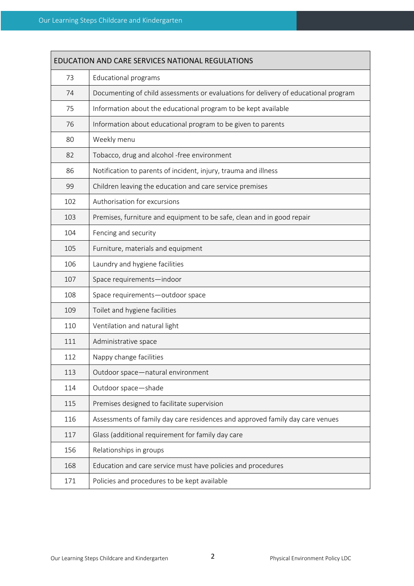$\mathbf{r}$ 

| EDUCATION AND CARE SERVICES NATIONAL REGULATIONS |                                                                                     |  |  |  |
|--------------------------------------------------|-------------------------------------------------------------------------------------|--|--|--|
| 73                                               | <b>Educational programs</b>                                                         |  |  |  |
| 74                                               | Documenting of child assessments or evaluations for delivery of educational program |  |  |  |
| 75                                               | Information about the educational program to be kept available                      |  |  |  |
| 76                                               | Information about educational program to be given to parents                        |  |  |  |
| 80                                               | Weekly menu                                                                         |  |  |  |
| 82                                               | Tobacco, drug and alcohol -free environment                                         |  |  |  |
| 86                                               | Notification to parents of incident, injury, trauma and illness                     |  |  |  |
| 99                                               | Children leaving the education and care service premises                            |  |  |  |
| 102                                              | Authorisation for excursions                                                        |  |  |  |
| 103                                              | Premises, furniture and equipment to be safe, clean and in good repair              |  |  |  |
| 104                                              | Fencing and security                                                                |  |  |  |
| 105                                              | Furniture, materials and equipment                                                  |  |  |  |
| 106                                              | Laundry and hygiene facilities                                                      |  |  |  |
| 107                                              | Space requirements-indoor                                                           |  |  |  |
| 108                                              | Space requirements-outdoor space                                                    |  |  |  |
| 109                                              | Toilet and hygiene facilities                                                       |  |  |  |
| 110                                              | Ventilation and natural light                                                       |  |  |  |
| 111                                              | Administrative space                                                                |  |  |  |
| 112                                              | Nappy change facilities                                                             |  |  |  |
| 113                                              | Outdoor space-natural environment                                                   |  |  |  |
| 114                                              | Outdoor space-shade                                                                 |  |  |  |
| 115                                              | Premises designed to facilitate supervision                                         |  |  |  |
| 116                                              | Assessments of family day care residences and approved family day care venues       |  |  |  |
| 117                                              | Glass (additional requirement for family day care                                   |  |  |  |
| 156                                              | Relationships in groups                                                             |  |  |  |
| 168                                              | Education and care service must have policies and procedures                        |  |  |  |
| 171                                              | Policies and procedures to be kept available                                        |  |  |  |

h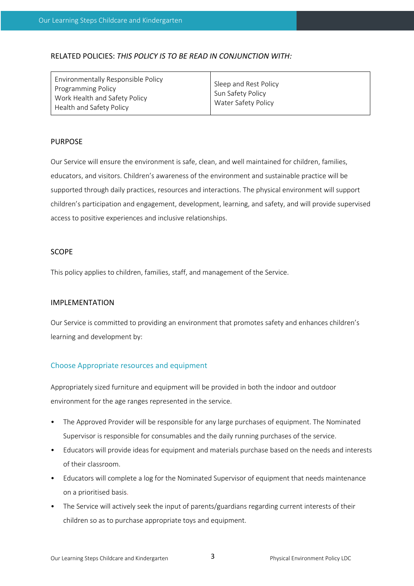## RELATED POLICIES: *THIS POLICY IS TO BE READ IN CONJUNCTION WITH:*

## PURPOSE

Our Service will ensure the environment is safe, clean, and well maintained for children, families, educators, and visitors. Children's awareness of the environment and sustainable practice will be supported through daily practices, resources and interactions. The physical environment will support children's participation and engagement, development, learning, and safety, and will provide supervised access to positive experiences and inclusive relationships.

## SCOPE

This policy applies to children, families, staff, and management of the Service.

## IMPLEMENTATION

Our Service is committed to providing an environment that promotes safety and enhances children's learning and development by:

## Choose Appropriate resources and equipment

Appropriately sized furniture and equipment will be provided in both the indoor and outdoor environment for the age ranges represented in the service.

- The Approved Provider will be responsible for any large purchases of equipment. The Nominated Supervisor is responsible for consumables and the daily running purchases of the service.
- Educators will provide ideas for equipment and materials purchase based on the needs and interests of their classroom.
- Educators will complete a log for the Nominated Supervisor of equipment that needs maintenance on a prioritised basis.
- The Service will actively seek the input of parents/guardians regarding current interests of their children so as to purchase appropriate toys and equipment.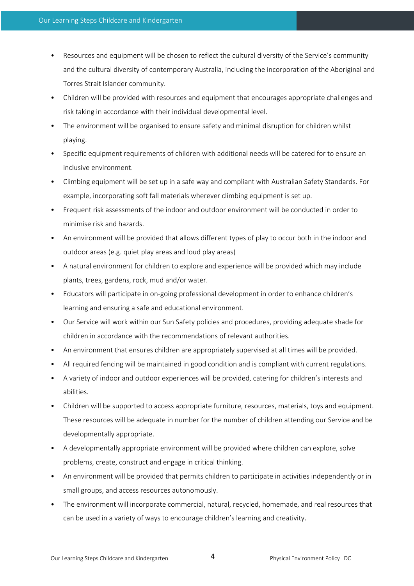- Resources and equipment will be chosen to reflect the cultural diversity of the Service's community and the cultural diversity of contemporary Australia, including the incorporation of the Aboriginal and Torres Strait Islander community.
- Children will be provided with resources and equipment that encourages appropriate challenges and risk taking in accordance with their individual developmental level.
- The environment will be organised to ensure safety and minimal disruption for children whilst playing.
- Specific equipment requirements of children with additional needs will be catered for to ensure an inclusive environment.
- Climbing equipment will be set up in a safe way and compliant with Australian Safety Standards. For example, incorporating soft fall materials wherever climbing equipment is set up.
- Frequent risk assessments of the indoor and outdoor environment will be conducted in order to minimise risk and hazards.
- An environment will be provided that allows different types of play to occur both in the indoor and outdoor areas (e.g. quiet play areas and loud play areas)
- A natural environment for children to explore and experience will be provided which may include plants, trees, gardens, rock, mud and/or water.
- Educators will participate in on-going professional development in order to enhance children's learning and ensuring a safe and educational environment.
- Our Service will work within our Sun Safety policies and procedures, providing adequate shade for children in accordance with the recommendations of relevant authorities.
- An environment that ensures children are appropriately supervised at all times will be provided.
- All required fencing will be maintained in good condition and is compliant with current regulations.
- A variety of indoor and outdoor experiences will be provided, catering for children's interests and abilities.
- Children will be supported to access appropriate furniture, resources, materials, toys and equipment. These resources will be adequate in number for the number of children attending our Service and be developmentally appropriate.
- A developmentally appropriate environment will be provided where children can explore, solve problems, create, construct and engage in critical thinking.
- An environment will be provided that permits children to participate in activities independently or in small groups, and access resources autonomously.
- The environment will incorporate commercial, natural, recycled, homemade, and real resources that can be used in a variety of ways to encourage children's learning and creativity.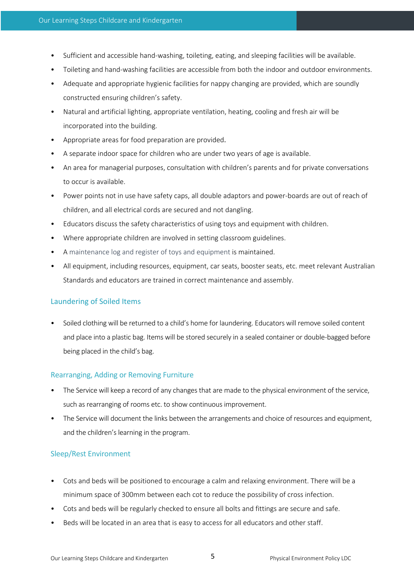- Sufficient and accessible hand-washing, toileting, eating, and sleeping facilities will be available.
- Toileting and hand-washing facilities are accessible from both the indoor and outdoor environments.
- Adequate and appropriate hygienic facilities for nappy changing are provided, which are soundly constructed ensuring children's safety.
- Natural and artificial lighting, appropriate ventilation, heating, cooling and fresh air will be incorporated into the building.
- Appropriate areas for food preparation are provided.
- A separate indoor space for children who are under two years of age is available.
- An area for managerial purposes, consultation with children's parents and for private conversations to occur is available.
- Power points not in use have safety caps, all double adaptors and power-boards are out of reach of children, and all electrical cords are secured and not dangling.
- Educators discuss the safety characteristics of using toys and equipment with children.
- Where appropriate children are involved in setting classroom guidelines.
- A maintenance log and register of toys and equipment is maintained.
- All equipment, including resources, equipment, car seats, booster seats, etc. meet relevant Australian Standards and educators are trained in correct maintenance and assembly.

## Laundering of Soiled Items

• Soiled clothing will be returned to a child's home for laundering. Educators will remove soiled content and place into a plastic bag. Items will be stored securely in a sealed container or double-bagged before being placed in the child's bag.

### Rearranging, Adding or Removing Furniture

- The Service will keep a record of any changes that are made to the physical environment of the service, such as rearranging of rooms etc. to show continuous improvement.
- The Service will document the links between the arrangements and choice of resources and equipment, and the children's learning in the program.

## Sleep/Rest Environment

- Cots and beds will be positioned to encourage a calm and relaxing environment. There will be a minimum space of 300mm between each cot to reduce the possibility of cross infection.
- Cots and beds will be regularly checked to ensure all bolts and fittings are secure and safe.
- Beds will be located in an area that is easy to access for all educators and other staff.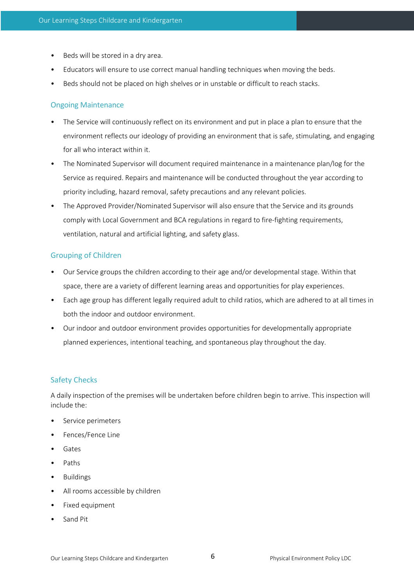- Beds will be stored in a dry area.
- Educators will ensure to use correct manual handling techniques when moving the beds.
- Beds should not be placed on high shelves or in unstable or difficult to reach stacks.

## Ongoing Maintenance

- The Service will continuously reflect on its environment and put in place a plan to ensure that the environment reflects our ideology of providing an environment that is safe, stimulating, and engaging for all who interact within it.
- The Nominated Supervisor will document required maintenance in a maintenance plan/log for the Service as required. Repairs and maintenance will be conducted throughout the year according to priority including, hazard removal, safety precautions and any relevant policies.
- The Approved Provider/Nominated Supervisor will also ensure that the Service and its grounds comply with Local Government and BCA regulations in regard to fire-fighting requirements, ventilation, natural and artificial lighting, and safety glass.

## Grouping of Children

- Our Service groups the children according to their age and/or developmental stage. Within that space, there are a variety of different learning areas and opportunities for play experiences.
- Each age group has different legally required adult to child ratios, which are adhered to at all times in both the indoor and outdoor environment.
- Our indoor and outdoor environment provides opportunities for developmentally appropriate planned experiences, intentional teaching, and spontaneous play throughout the day.

## Safety Checks

A daily inspection of the premises will be undertaken before children begin to arrive. This inspection will include the:

- Service perimeters
- Fences/Fence Line
- Gates
- Paths
- Buildings
- All rooms accessible by children
- Fixed equipment
- Sand Pit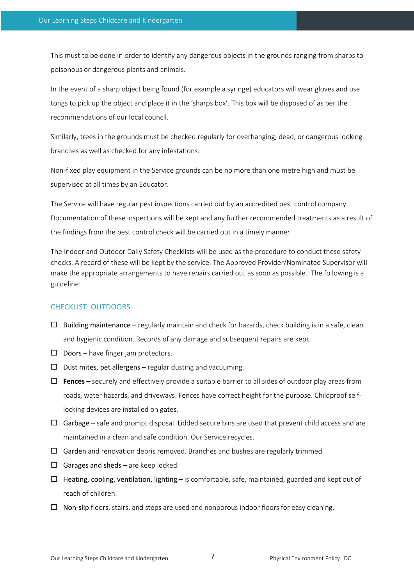This must to be done in order to identify any dangerous objects in the grounds ranging from sharps to poisonous or dangerous plants and animals.

In the event of a sharp object being found (for example a syringe) educators will wear gloves and use tongs to pick up the object and place it in the 'sharps box'. This box will be disposed of as per the recommendations of our local council.

Similarly, trees in the grounds must be checked regularly for overhanging, dead, or dangerous looking branches as well as checked for any infestations.

Non-fixed play equipment in the Service grounds can be no more than one metre high and must be supervised at all times by an Educator.

The Service will have regular pest inspections carried out by an accredited pest control company. Documentation of these inspections will be kept and any further recommended treatments as a result of the findings from the pest control check will be carried out in a timely manner.

The Indoor and Outdoor Daily Safety Checklists will be used as the procedure to conduct these safety checks. A record of these will be kept by the service. The Approved Provider/Nominated Supervisor will make the appropriate arrangements to have repairs carried out as soon as possible. The following is a guideline:

## CHECKLIST: OUTDOORS

- $\Box$  Building maintenance regularly maintain and check for hazards, check building is in a safe, clean and hygienic condition. Records of any damage and subsequent repairs are kept.
- $\Box$  Doors have finger jam protectors.
- $\Box$  Dust mites, pet allergens regular dusting and vacuuming.
- $\Box$  **Fences** securely and effectively provide a suitable barrier to all sides of outdoor play areas from roads, water hazards, and driveways. Fences have correct height for the purpose. Childproof selflocking devices are installed on gates.
- $\Box$  Garbage safe and prompt disposal. Lidded secure bins are used that prevent child access and are maintained in a clean and safe condition. Our Service recycles.
- $\Box$  Garden and renovation debris removed. Branches and bushes are regularly trimmed.
- $\Box$  Garages and sheds are keep locked.
- $\Box$  Heating, cooling, ventilation, lighting is comfortable, safe, maintained, guarded and kept out of reach of children.
- $\Box$  Non-slip floors, stairs, and steps are used and nonporous indoor floors for easy cleaning.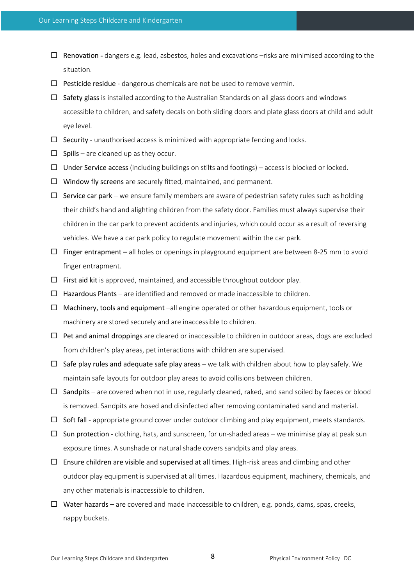- $\Box$  Renovation dangers e.g. lead, asbestos, holes and excavations –risks are minimised according to the situation.
- $\Box$  Pesticide residue dangerous chemicals are not be used to remove vermin.
- $\Box$  Safety glass is installed according to the Australian Standards on all glass doors and windows accessible to children, and safety decals on both sliding doors and plate glass doors at child and adult eye level.
- $\Box$  Security unauthorised access is minimized with appropriate fencing and locks.
- $\Box$  Spills are cleaned up as they occur.
- $\Box$  Under Service access (including buildings on stilts and footings) access is blocked or locked.
- $\Box$  Window fly screens are securely fitted, maintained, and permanent.
- $\Box$  Service car park we ensure family members are aware of pedestrian safety rules such as holding their child's hand and alighting children from the safety door. Families must always supervise their children in the car park to prevent accidents and injuries, which could occur as a result of reversing vehicles. We have a car park policy to regulate movement within the car park.
- $\square$  Finger entrapment all holes or openings in playground equipment are between 8-25 mm to avoid finger entrapment.
- $\Box$  First aid kit is approved, maintained, and accessible throughout outdoor play.
- $\Box$  Hazardous Plants are identified and removed or made inaccessible to children.
- $\Box$  Machinery, tools and equipment –all engine operated or other hazardous equipment, tools or machinery are stored securely and are inaccessible to children.
- $\Box$  Pet and animal droppings are cleared or inaccessible to children in outdoor areas, dogs are excluded from children's play areas, pet interactions with children are supervised.
- $\Box$  Safe play rules and adequate safe play areas we talk with children about how to play safely. We maintain safe layouts for outdoor play areas to avoid collisions between children.
- $\Box$  Sandpits are covered when not in use, regularly cleaned, raked, and sand soiled by faeces or blood is removed. Sandpits are hosed and disinfected after removing contaminated sand and material.
- $\Box$  Soft fall appropriate ground cover under outdoor climbing and play equipment, meets standards.
- $\square$  Sun protection clothing, hats, and sunscreen, for un-shaded areas we minimise play at peak sun exposure times. A sunshade or natural shade covers sandpits and play areas.
- $\square$  Ensure children are visible and supervised at all times. High-risk areas and climbing and other outdoor play equipment is supervised at all times. Hazardous equipment, machinery, chemicals, and any other materials is inaccessible to children.
- $\Box$  Water hazards are covered and made inaccessible to children, e.g. ponds, dams, spas, creeks, nappy buckets.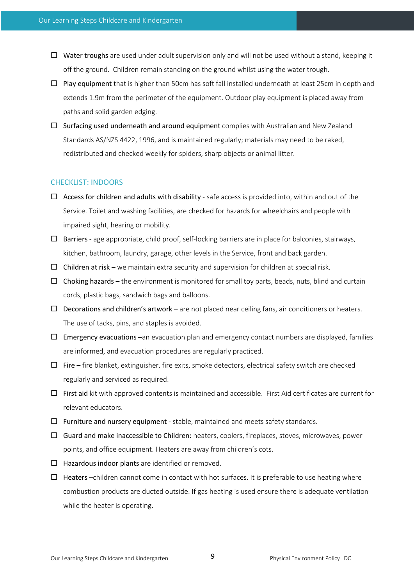- $\Box$  Water troughs are used under adult supervision only and will not be used without a stand, keeping it off the ground. Children remain standing on the ground whilst using the water trough.
- $\Box$  Play equipment that is higher than 50cm has soft fall installed underneath at least 25cm in depth and extends 1.9m from the perimeter of the equipment. Outdoor play equipment is placed away from paths and solid garden edging.
- $\square$  Surfacing used underneath and around equipment complies with Australian and New Zealand Standards AS/NZS 4422, 1996, and is maintained regularly; materials may need to be raked, redistributed and checked weekly for spiders, sharp objects or animal litter.

## CHECKLIST: INDOORS

- $\Box$  Access for children and adults with disability safe access is provided into, within and out of the Service. Toilet and washing facilities, are checked for hazards for wheelchairs and people with impaired sight, hearing or mobility.
- $\Box$  Barriers age appropriate, child proof, self-locking barriers are in place for balconies, stairways, kitchen, bathroom, laundry, garage, other levels in the Service, front and back garden.
- $\Box$  Children at risk we maintain extra security and supervision for children at special risk.
- $\Box$  Choking hazards the environment is monitored for small toy parts, beads, nuts, blind and curtain cords, plastic bags, sandwich bags and balloons.
- $\Box$  Decorations and children's artwork are not placed near ceiling fans, air conditioners or heaters. The use of tacks, pins, and staples is avoided.
- $\Box$  Emergency evacuations –an evacuation plan and emergency contact numbers are displayed, families are informed, and evacuation procedures are regularly practiced.
- $\Box$  Fire fire blanket, extinguisher, fire exits, smoke detectors, electrical safety switch are checked regularly and serviced as required.
- $\Box$  First aid kit with approved contents is maintained and accessible. First Aid certificates are current for relevant educators.
- $\Box$  Furniture and nursery equipment stable, maintained and meets safety standards.
- $\square$  Guard and make inaccessible to Children: heaters, coolers, fireplaces, stoves, microwaves, power points, and office equipment. Heaters are away from children's cots.
- $\Box$  Hazardous indoor plants are identified or removed.
- $\Box$  Heaters -children cannot come in contact with hot surfaces. It is preferable to use heating where combustion products are ducted outside. If gas heating is used ensure there is adequate ventilation while the heater is operating.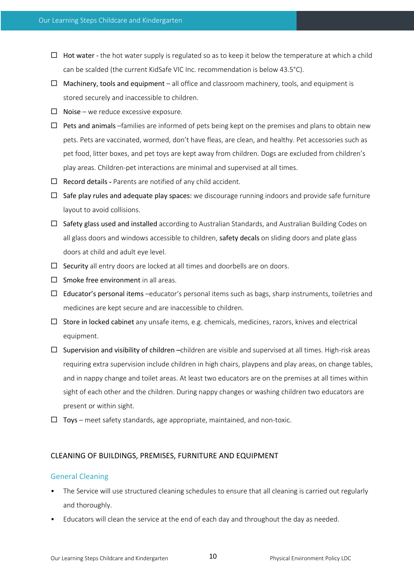- $\Box$  Hot water the hot water supply is regulated so as to keep it below the temperature at which a child can be scalded (the current KidSafe VIC Inc. recommendation is below 43.5°C).
- $\Box$  Machinery, tools and equipment all office and classroom machinery, tools, and equipment is stored securely and inaccessible to children.
- $\Box$  Noise we reduce excessive exposure.
- $\Box$  Pets and animals –families are informed of pets being kept on the premises and plans to obtain new pets. Pets are vaccinated, wormed, don't have fleas, are clean, and healthy. Pet accessories such as pet food, litter boxes, and pet toys are kept away from children. Dogs are excluded from children's play areas. Children-pet interactions are minimal and supervised at all times.
- $\square$  Record details Parents are notified of any child accident.
- $\Box$  Safe play rules and adequate play spaces: we discourage running indoors and provide safe furniture layout to avoid collisions.
- $\Box$  Safety glass used and installed according to Australian Standards, and Australian Building Codes on all glass doors and windows accessible to children, safety decals on sliding doors and plate glass doors at child and adult eye level.
- $\Box$  Security all entry doors are locked at all times and doorbells are on doors.
- $\Box$  Smoke free environment in all areas.
- $\Box$  Educator's personal items –educator's personal items such as bags, sharp instruments, toiletries and medicines are kept secure and are inaccessible to children.
- $\square$  Store in locked cabinet any unsafe items, e.g. chemicals, medicines, razors, knives and electrical equipment.
- $\Box$  Supervision and visibility of children –children are visible and supervised at all times. High-risk areas requiring extra supervision include children in high chairs, playpens and play areas, on change tables, and in nappy change and toilet areas. At least two educators are on the premises at all times within sight of each other and the children. During nappy changes or washing children two educators are present or within sight.
- $\Box$  Toys meet safety standards, age appropriate, maintained, and non-toxic.

### CLEANING OF BUILDINGS, PREMISES, FURNITURE AND EQUIPMENT

### General Cleaning

- The Service will use structured cleaning schedules to ensure that all cleaning is carried out regularly and thoroughly.
- Educators will clean the service at the end of each day and throughout the day as needed.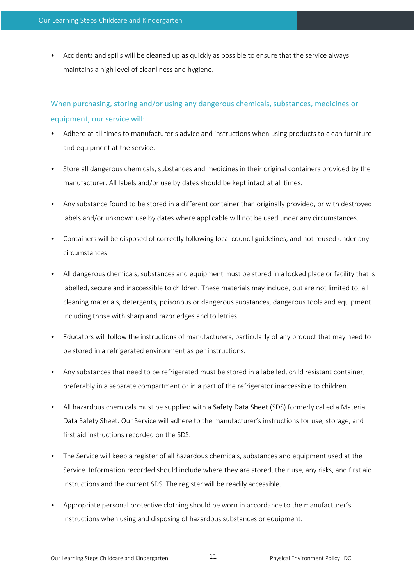• Accidents and spills will be cleaned up as quickly as possible to ensure that the service always maintains a high level of cleanliness and hygiene.

When purchasing, storing and/or using any dangerous chemicals, substances, medicines or equipment, our service will:

- Adhere at all times to manufacturer's advice and instructions when using products to clean furniture and equipment at the service.
- Store all dangerous chemicals, substances and medicines in their original containers provided by the manufacturer. All labels and/or use by dates should be kept intact at all times.
- Any substance found to be stored in a different container than originally provided, or with destroyed labels and/or unknown use by dates where applicable will not be used under any circumstances.
- Containers will be disposed of correctly following local council guidelines, and not reused under any circumstances.
- All dangerous chemicals, substances and equipment must be stored in a locked place or facility that is labelled, secure and inaccessible to children. These materials may include, but are not limited to, all cleaning materials, detergents, poisonous or dangerous substances, dangerous tools and equipment including those with sharp and razor edges and toiletries.
- Educators will follow the instructions of manufacturers, particularly of any product that may need to be stored in a refrigerated environment as per instructions.
- Any substances that need to be refrigerated must be stored in a labelled, child resistant container, preferably in a separate compartment or in a part of the refrigerator inaccessible to children.
- All hazardous chemicals must be supplied with a Safety Data Sheet (SDS) formerly called a Material Data Safety Sheet. Our Service will adhere to the manufacturer's instructions for use, storage, and first aid instructions recorded on the SDS.
- The Service will keep a register of all hazardous chemicals, substances and equipment used at the Service. Information recorded should include where they are stored, their use, any risks, and first aid instructions and the current SDS. The register will be readily accessible.
- Appropriate personal protective clothing should be worn in accordance to the manufacturer's instructions when using and disposing of hazardous substances or equipment.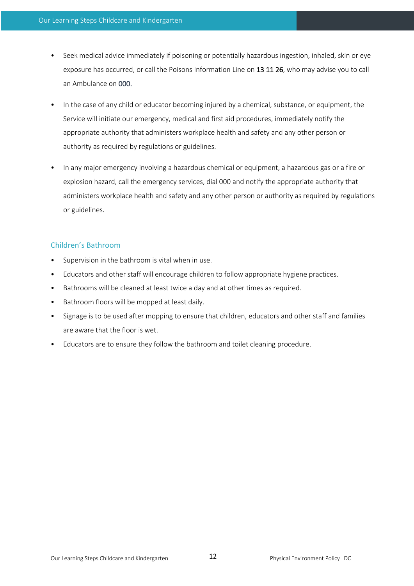- Seek medical advice immediately if poisoning or potentially hazardous ingestion, inhaled, skin or eye exposure has occurred, or call the Poisons Information Line on 13 11 26, who may advise you to call an Ambulance on 000.
- In the case of any child or educator becoming injured by a chemical, substance, or equipment, the Service will initiate our emergency, medical and first aid procedures, immediately notify the appropriate authority that administers workplace health and safety and any other person or authority as required by regulations or guidelines.
- In any major emergency involving a hazardous chemical or equipment, a hazardous gas or a fire or explosion hazard, call the emergency services, dial 000 and notify the appropriate authority that administers workplace health and safety and any other person or authority as required by regulations or guidelines.

# Children's Bathroom

- Supervision in the bathroom is vital when in use.
- Educators and other staff will encourage children to follow appropriate hygiene practices.
- Bathrooms will be cleaned at least twice a day and at other times as required.
- Bathroom floors will be mopped at least daily.
- Signage is to be used after mopping to ensure that children, educators and other staff and families are aware that the floor is wet.
- Educators are to ensure they follow the bathroom and toilet cleaning procedure.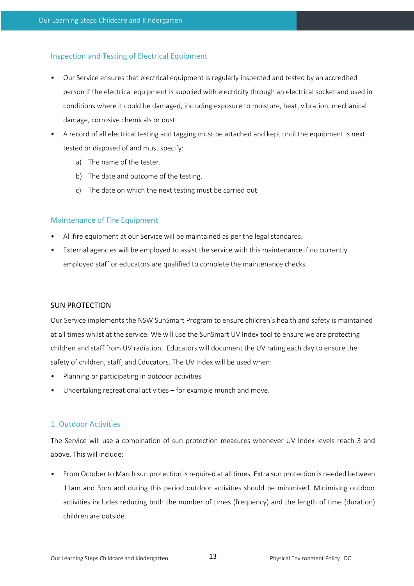# Inspection and Testing of Electrical Equipment

- Our Service ensures that electrical equipment is regularly inspected and tested by an accredited person if the electrical equipment is supplied with electricity through an electrical socket and used in conditions where it could be damaged, including exposure to moisture, heat, vibration, mechanical damage, corrosive chemicals or dust.
- A record of all electrical testing and tagging must be attached and kept until the equipment is next tested or disposed of and must specify:
	- a) The name of the tester.
	- b) The date and outcome of the testing.
	- c) The date on which the next testing must be carried out.

# Maintenance of Fire Equipment

- All fire equipment at our Service will be maintained as per the legal standards.
- External agencies will be employed to assist the service with this maintenance if no currently employed staff or educators are qualified to complete the maintenance checks.

## SUN PROTECTION

Our Service implements the NSW SunSmart Program to ensure children's health and safety is maintained at all times whilst at the service. We will use the SunSmart UV Index tool to ensure we are protecting children and staff from UV radiation. Educators will document the UV rating each day to ensure the safety of children, staff, and Educators. The UV Index will be used when:

- Planning or participating in outdoor activities
- Undertaking recreational activities for example munch and move.

## 1. Outdoor Activities

The Service will use a combination of sun protection measures whenever UV Index levels reach 3 and above. This will include:

• From October to March sun protection is required at all times. Extra sun protection is needed between 11am and 3pm and during this period outdoor activities should be minimised. Minimising outdoor activities includes reducing both the number of times (frequency) and the length of time (duration) children are outside.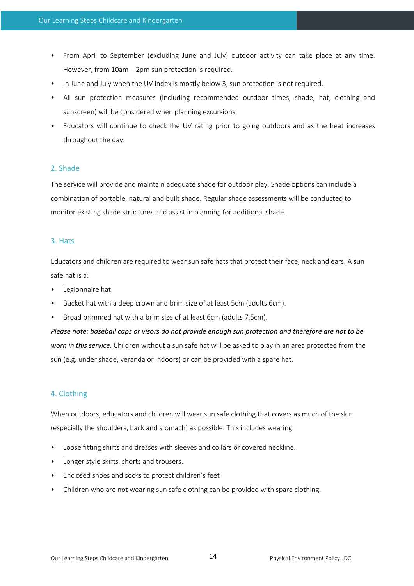- From April to September (excluding June and July) outdoor activity can take place at any time. However, from 10am – 2pm sun protection is required.
- In June and July when the UV index is mostly below 3, sun protection is not required.
- All sun protection measures (including recommended outdoor times, shade, hat, clothing and sunscreen) will be considered when planning excursions.
- Educators will continue to check the UV rating prior to going outdoors and as the heat increases throughout the day.

# 2. Shade

The service will provide and maintain adequate shade for outdoor play. Shade options can include a combination of portable, natural and built shade. Regular shade assessments will be conducted to monitor existing shade structures and assist in planning for additional shade.

# 3. Hats

Educators and children are required to wear sun safe hats that protect their face, neck and ears. A sun safe hat is a:

- Legionnaire hat.
- Bucket hat with a deep crown and brim size of at least 5cm (adults 6cm).
- Broad brimmed hat with a brim size of at least 6cm (adults 7.5cm).

*Please note: baseball caps or visors do not provide enough sun protection and therefore are not to be worn in this service.* Children without a sun safe hat will be asked to play in an area protected from the sun (e.g. under shade, veranda or indoors) or can be provided with a spare hat.

# 4. Clothing

When outdoors, educators and children will wear sun safe clothing that covers as much of the skin (especially the shoulders, back and stomach) as possible. This includes wearing:

- Loose fitting shirts and dresses with sleeves and collars or covered neckline.
- Longer style skirts, shorts and trousers.
- Enclosed shoes and socks to protect children's feet
- Children who are not wearing sun safe clothing can be provided with spare clothing.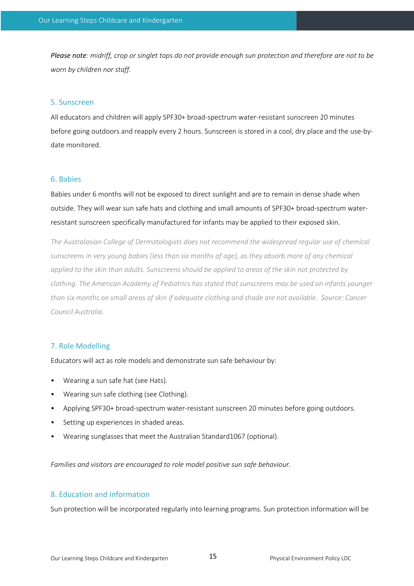*Please note: midriff, crop or singlet tops do not provide enough sun protection and therefore are not to be worn by children nor staff.*

## 5. Sunscreen

All educators and children will apply SPF30+ broad-spectrum water-resistant sunscreen 20 minutes before going outdoors and reapply every 2 hours. Sunscreen is stored in a cool, dry place and the use-bydate monitored.

# 6. Babies

Babies under 6 months will not be exposed to direct sunlight and are to remain in dense shade when outside. They will wear sun safe hats and clothing and small amounts of SPF30+ broad-spectrum waterresistant sunscreen specifically manufactured for infants may be applied to their exposed skin.

*The Australasian College of Dermatologists does not recommend the widespread regular use of chemical sunscreens in very young babies (less than six months of age), as they absorb more of any chemical applied to the skin than adults. Sunscreens should be applied to areas of the skin not protected by clothing. The American Academy of Pediatrics has stated that sunscreens may be used on infants younger than six months on small areas of skin if adequate clothing and shade are not available. Source: Cancer Council Australia.*

## 7. Role Modelling

Educators will act as role models and demonstrate sun safe behaviour by:

- Wearing a sun safe hat (see Hats).
- Wearing sun safe clothing (see Clothing).
- Applying SPF30+ broad-spectrum water-resistant sunscreen 20 minutes before going outdoors.
- Setting up experiences in shaded areas.
- Wearing sunglasses that meet the Australian Standard1067 (optional).

*Families and visitors are encouraged to role model positive sun safe behaviour.*

# 8. Education and Information

Sun protection will be incorporated regularly into learning programs. Sun protection information will be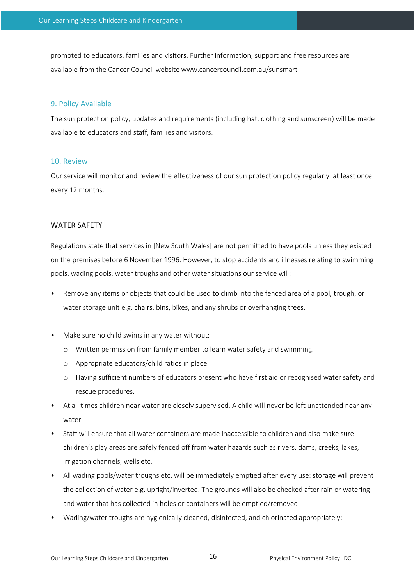promoted to educators, families and visitors. Further information, support and free resources are available from the Cancer Council website www.cancercouncil.com.au/sunsmart

### 9. Policy Available

The sun protection policy, updates and requirements (including hat, clothing and sunscreen) will be made available to educators and staff, families and visitors.

### 10. Review

Our service will monitor and review the effectiveness of our sun protection policy regularly, at least once every 12 months.

## WATER SAFETY

Regulations state that services in [New South Wales] are not permitted to have pools unless they existed on the premises before 6 November 1996. However, to stop accidents and illnesses relating to swimming pools, wading pools, water troughs and other water situations our service will:

- Remove any items or objects that could be used to climb into the fenced area of a pool, trough, or water storage unit e.g. chairs, bins, bikes, and any shrubs or overhanging trees.
- Make sure no child swims in any water without:
	- o Written permission from family member to learn water safety and swimming.
	- o Appropriate educators/child ratios in place.
	- o Having sufficient numbers of educators present who have first aid or recognised water safety and rescue procedures.
- At all times children near water are closely supervised. A child will never be left unattended near any water.
- Staff will ensure that all water containers are made inaccessible to children and also make sure children's play areas are safely fenced off from water hazards such as rivers, dams, creeks, lakes, irrigation channels, wells etc.
- All wading pools/water troughs etc. will be immediately emptied after every use: storage will prevent the collection of water e.g. upright/inverted. The grounds will also be checked after rain or watering and water that has collected in holes or containers will be emptied/removed.
- Wading/water troughs are hygienically cleaned, disinfected, and chlorinated appropriately: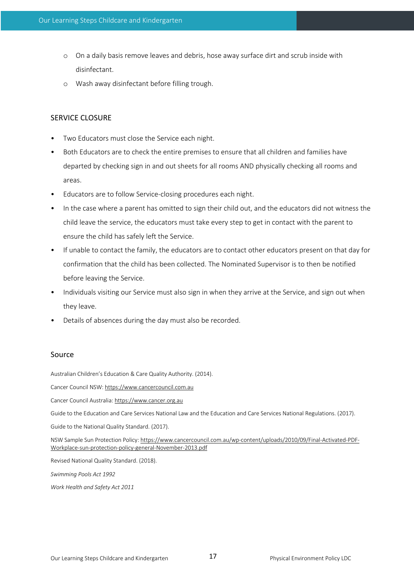- o On a daily basis remove leaves and debris, hose away surface dirt and scrub inside with disinfectant.
- o Wash away disinfectant before filling trough.

## SERVICE CLOSURE

- Two Educators must close the Service each night.
- Both Educators are to check the entire premises to ensure that all children and families have departed by checking sign in and out sheets for all rooms AND physically checking all rooms and areas.
- Educators are to follow Service-closing procedures each night.
- In the case where a parent has omitted to sign their child out, and the educators did not witness the child leave the service, the educators must take every step to get in contact with the parent to ensure the child has safely left the Service.
- If unable to contact the family, the educators are to contact other educators present on that day for confirmation that the child has been collected. The Nominated Supervisor is to then be notified before leaving the Service.
- Individuals visiting our Service must also sign in when they arrive at the Service, and sign out when they leave.
- Details of absences during the day must also be recorded.

## Source

Australian Children's Education & Care Quality Authority. (2014).

Cancer Council NSW: https://www.cancercouncil.com.au

Cancer Council Australia: https://www.cancer.org.au

Guide to the Education and Care Services National Law and the Education and Care Services National Regulations. (2017).

Guide to the National Quality Standard. (2017).

NSW Sample Sun Protection Policy: https://www.cancercouncil.com.au/wp-content/uploads/2010/09/Final-Activated-PDF-Workplace-sun-protection-policy-general-November-2013.pdf

Revised National Quality Standard. (2018).

*Swimming Pools Act 1992*

*Work Health and Safety Act 2011*